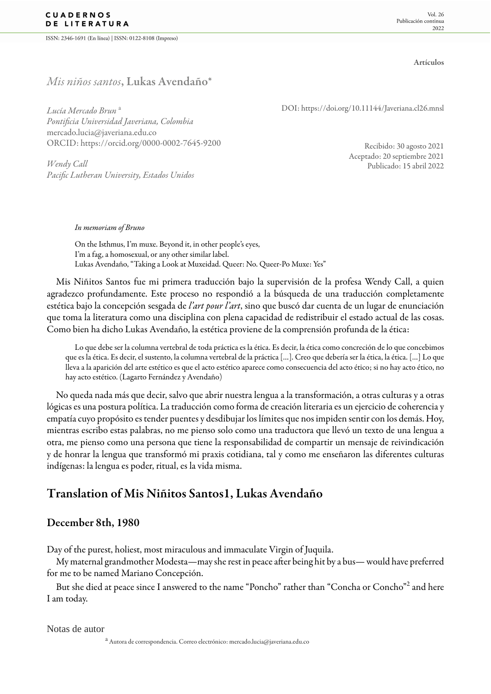ISSN: 2346-1691 (En línea) | ISSN: 0122-8108 (Impreso)

Artículos

## *Mis niños santos*, Lukas Avendañ[o\\*](#page-7-0)

*Lucía Mercado Brun* [a](#page-0-0) *Pontificia Universidad Javeriana, Colombia* mercado.lucia@javeriana.edu.co ORCID: <https://orcid.org/0000-0002-7645-9200>

*Wendy Call Pacific Lutheran University, Estados Unidos* DOI:<https://doi.org/10.11144/Javeriana.cl26.mnsl>

Recibido: 30 agosto 2021 Aceptado: 20 septiembre 2021 Publicado: 15 abril 2022

*In memoriam of Bruno*

On the Isthmus, I'm muxe. Beyond it, in other people's eyes, I'm a fag, a homosexual, or any other similar label. [Lukas Avendaño](#page-7-1), "Taking a Look at Muxeidad. Queer: No. Queer-Po Muxe: Yes"

Mis Niñitos Santos fue mi primera traducción bajo la supervisión de la profesa Wendy Call, a quien agradezco profundamente. Este proceso no respondió a la búsqueda de una traducción completamente estética bajo la concepción sesgada de *l'art pour l'art*, sino que buscó dar cuenta de un lugar de enunciación que toma la literatura como una disciplina con plena capacidad de redistribuir el estado actual de las cosas. Como bien ha dicho [Lukas Avendaño,](#page-6-0) la estética proviene de la comprensión profunda de la ética:

Lo que debe ser la columna vertebral de toda práctica es la ética. Es decir, la ética como concreción de lo que concebimos que es la ética. Es decir, el sustento, la columna vertebral de la práctica […]. Creo que debería ser la ética, la ética. […] Lo que lleva a la aparición del arte estético es que el acto estético aparece como consecuencia del acto ético; si no hay acto ético, no hay acto estético. [\(Lagarto Fernández y Avendaño](#page-7-2))

No queda nada más que decir, salvo que abrir nuestra lengua a la transformación, a otras culturas y a otras lógicas es una postura política. La traducción como forma de creación literaria es un ejercicio de coherencia y empatía cuyo propósito es tender puentes y desdibujar los límites que nos impiden sentir con los demás. Hoy, mientras escribo estas palabras, no me pienso solo como una traductora que llevó un texto de una lengua a otra, me pienso como una persona que tiene la responsabilidad de compartir un mensaje de reivindicación y de honrar la lengua que transformó mi praxis cotidiana, tal y como me enseñaron las diferentes culturas indígenas: la lengua es poder, ritual, es la vida misma.

# Translation of Mis Niñitos Santos1, Lukas Avendaño

#### December 8th, 1980

Day of the purest, holiest, most miraculous and immaculate Virgin of Juquila.

My maternal grandmother Modesta—may she rest in peace after being hit by a bus— would have preferred for me to be named Mariano Concepción.

But she died at peace since I answered to the name "Poncho" rather than "Concha or Concho"<sup>[2](#page-7-3)</sup> and here I am today.

#### <span id="page-0-0"></span>Notas de autor

a<br>Autora de correspondencia. Correo electrónico: mercado.lucia@javeriana.edu.co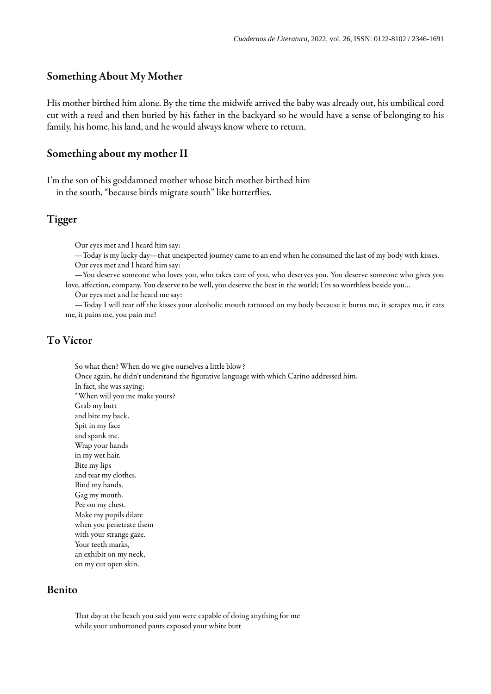#### Something About My Mother

His mother birthed him alone. By the time the midwife arrived the baby was already out, his umbilical cord cut with a reed and then buried by his father in the backyard so he would have a sense of belonging to his family, his home, his land, and he would always know where to return.

#### Something about my mother II

I'm the son of his goddamned mother whose bitch mother birthed him in the south, "because birds migrate south" like butterflies.

#### Tigger

Our eyes met and I heard him say:

- —Today is my lucky day—that unexpected journey came to an end when he consumed the last of my body with kisses. Our eyes met and I heard him say:
- —You deserve someone who loves you, who takes care of you, who deserves you. You deserve someone who gives you love, affection, company. You deserve to be well, you deserve the best in the world; I'm so worthless beside you…

Our eyes met and he heard me say:

—Today I will tear off the kisses your alcoholic mouth tattooed on my body because it burns me, it scrapes me, it eats me, it pains me, you pain me!

#### To Víctor

So what then? When do we give ourselves a little blow? Once again, he didn't understand the figurative language with which Cariño addressed him. In fact, she was saying: "When will you me make yours? Grab my butt and bite my back. Spit in my face and spank me. Wrap your hands in my wet hair. Bite my lips and tear my clothes. Bind my hands. Gag my mouth. Pee on my chest. Make my pupils dilate when you penetrate them with your strange gaze. Your teeth marks, an exhibit on my neck, on my cut open skin.

#### Benito

That day at the beach you said you were capable of doing anything for me while your unbuttoned pants exposed your white butt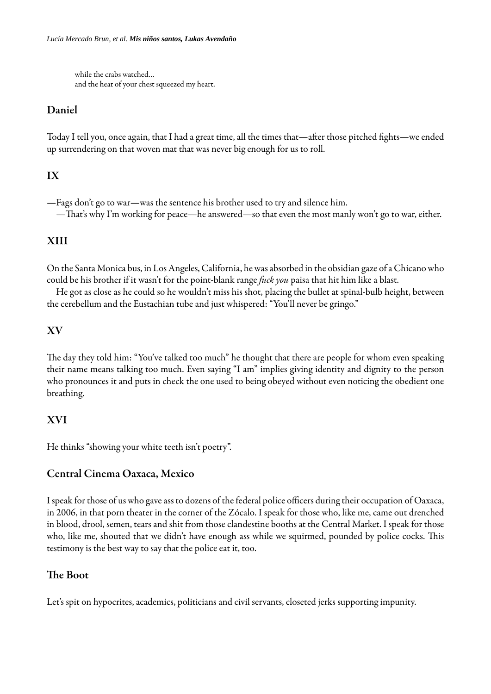while the crabs watched… and the heat of your chest squeezed my heart.

## Daniel

Today I tell you, once again, that I had a great time, all the times that—after those pitched fights—we ended up surrendering on that woven mat that was never big enough for us to roll.

# IX

—Fags don't go to war—was the sentence his brother used to try and silence him. —That's why I'm working for peace—he answered—so that even the most manly won't go to war, either.

# XIII

On the Santa Monica bus, in Los Angeles, California, he was absorbed in the obsidian gaze of a Chicano who could be his brother if it wasn't for the point-blank range *fuck you* paisa that hit him like a blast.

He got as close as he could so he wouldn't miss his shot, placing the bullet at spinal-bulb height, between the cerebellum and the Eustachian tube and just whispered: "You'll never be gringo."

## XV

The day they told him: "You've talked too much" he thought that there are people for whom even speaking their name means talking too much. Even saying "I am" implies giving identity and dignity to the person who pronounces it and puts in check the one used to being obeyed without even noticing the obedient one breathing.

## XVI

He thinks "showing your white teeth isn't poetry".

### Central Cinema Oaxaca, Mexico

I speak for those of us who gave ass to dozens of the federal police officers during their occupation of Oaxaca, in 2006, in that porn theater in the corner of the Zócalo. I speak for those who, like me, came out drenched in blood, drool, semen, tears and shit from those clandestine booths at the Central Market. I speak for those who, like me, shouted that we didn't have enough ass while we squirmed, pounded by police cocks. This testimony is the best way to say that the police eat it, too.

## The Boot

Let's spit on hypocrites, academics, politicians and civil servants, closeted jerks supporting impunity.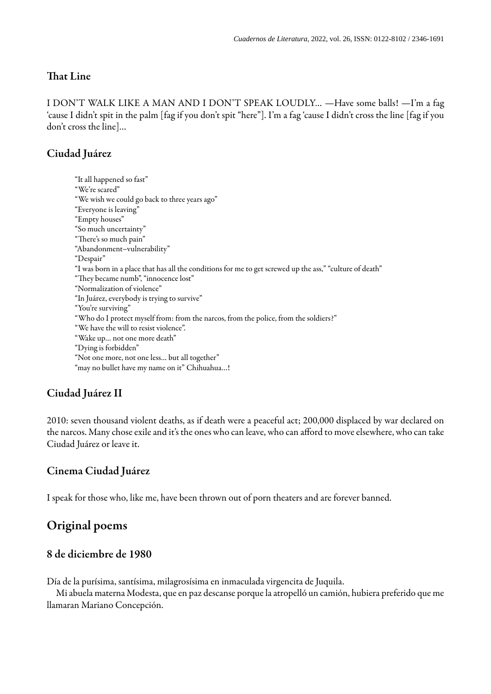### That Line

I DON'T WALK LIKE A MAN AND I DON'T SPEAK LOUDLY… —Have some balls! —I'm a fag 'cause I didn't spit in the palm [fag if you don't spit "here"]. I'm a fag 'cause I didn't cross the line [fag if you don't cross the line]…

## Ciudad Juárez

"It all happened so fast" "We're scared" "We wish we could go back to three years ago" "Everyone is leaving" "Empty houses" "So much uncertainty" "There's so much pain" "Abandonment–vulnerability" "Despair" "I was born in a place that has all the conditions for me to get screwed up the ass," "culture of death" "They became numb", "innocence lost" "Normalization of violence" "In Juárez, everybody is trying to survive" "You're surviving" "Who do I protect myself from: from the narcos, from the police, from the soldiers?" "We have the will to resist violence". "Wake up… not one more death" "Dying is forbidden" "Not one more, not one less… but all together" "may no bullet have my name on it" Chihuahua…!

### Ciudad Juárez II

2010: seven thousand violent deaths, as if death were a peaceful act; 200,000 displaced by war declared on the narcos. Many chose exile and it's the ones who can leave, who can afford to move elsewhere, who can take Ciudad Juárez or leave it.

#### Cinema Ciudad Juárez

I speak for those who, like me, have been thrown out of porn theaters and are forever banned.

# Original poems

## 8 de diciembre de 1980

Día de la purísima, santísima, milagrosísima en inmaculada virgencita de Juquila.

Mi abuela materna Modesta, que en paz descanse porque la atropelló un camión, hubiera preferido que me llamaran Mariano Concepción.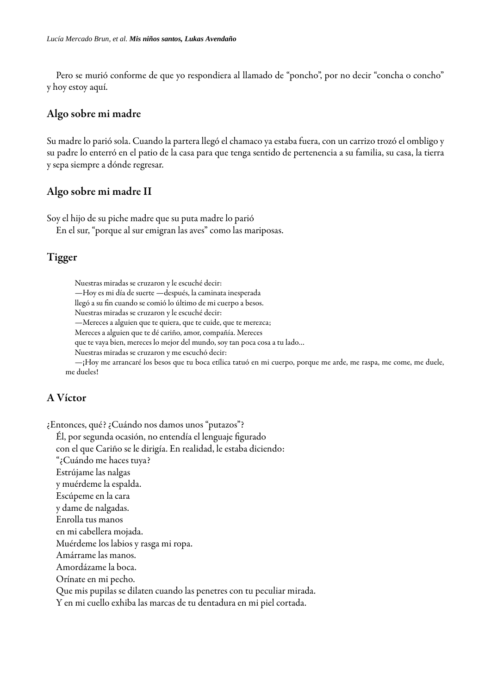Pero se murió conforme de que yo respondiera al llamado de "poncho", por no decir "concha o concho" y hoy estoy aquí.

#### Algo sobre mi madre

Su madre lo parió sola. Cuando la partera llegó el chamaco ya estaba fuera, con un carrizo trozó el ombligo y su padre lo enterró en el patio de la casa para que tenga sentido de pertenencia a su familia, su casa, la tierra y sepa siempre a dónde regresar.

#### Algo sobre mi madre II

Soy el hijo de su piche madre que su puta madre lo parió

En el sur, "porque al sur emigran las aves" como las mariposas.

## Tigger

Nuestras miradas se cruzaron y le escuché decir: —Hoy es mi día de suerte —después, la caminata inesperada llegó a su fin cuando se comió lo último de mi cuerpo a besos. Nuestras miradas se cruzaron y le escuché decir: —Mereces a alguien que te quiera, que te cuide, que te merezca; Mereces a alguien que te dé cariño, amor, compañía. Mereces que te vaya bien, mereces lo mejor del mundo, soy tan poca cosa a tu lado… Nuestras miradas se cruzaron y me escuchó decir: —¡Hoy me arrancaré los besos que tu boca etílica tatuó en mi cuerpo, porque me arde, me raspa, me come, me duele, me dueles!

### A Víctor

¿Entonces, qué? ¿Cuándo nos damos unos "putazos"?

Él, por segunda ocasión, no entendía el lenguaje figurado

con el que Cariño se le dirigía. En realidad, le estaba diciendo:

"¿Cuándo me haces tuya?

Estrújame las nalgas

y muérdeme la espalda.

Escúpeme en la cara

y dame de nalgadas.

Enrolla tus manos

en mi cabellera mojada.

Muérdeme los labios y rasga mi ropa.

Amárrame las manos.

Amordázame la boca.

Orínate en mi pecho.

Que mis pupilas se dilaten cuando las penetres con tu peculiar mirada.

Y en mi cuello exhiba las marcas de tu dentadura en mi piel cortada.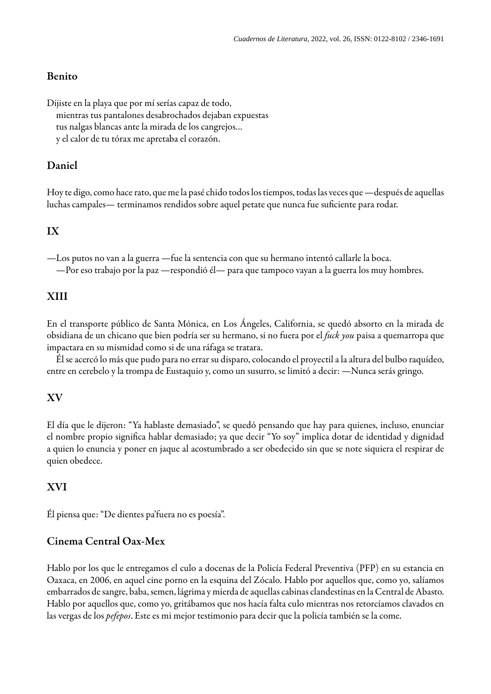### Benito

Dijiste en la playa que por mí serías capaz de todo, mientras tus pantalones desabrochados dejaban expuestas tus nalgas blancas ante la mirada de los cangrejos… y el calor de tu tórax me apretaba el corazón.

### Daniel

Hoy te digo, como hace rato, que me la pasé chido todos los tiempos, todas las veces que —después de aquellas luchas campales— terminamos rendidos sobre aquel petate que nunca fue suciente para rodar.

## IX

—Los putos no van a la guerra —fue la sentencia con que su hermano intentó callarle la boca. —Por eso trabajo por la paz —respondió él— para que tampoco vayan a la guerra los muy hombres.

### XIII

En el transporte público de Santa Mónica, en Los Ángeles, California, se quedó absorto en la mirada de obsidiana de un chicano que bien podría ser su hermano, si no fuera por el *fuck you* paisa a quemarropa que impactara en su mismidad como si de una ráfaga se tratara.

Él se acercó lo más que pudo para no errar su disparo, colocando el proyectil a la altura del bulbo raquídeo, entre en cerebelo y la trompa de Eustaquio y, como un susurro, se limitó a decir: —Nunca serás gringo.

#### XV

El día que le dijeron: "Ya hablaste demasiado", se quedó pensando que hay para quienes, incluso, enunciar el nombre propio significa hablar demasiado; ya que decir "Yo soy" implica dotar de identidad y dignidad a quien lo enuncia y poner en jaque al acostumbrado a ser obedecido sin que se note siquiera el respirar de quien obedece.

#### XVI

Él piensa que: "De dientes pa'fuera no es poesía".

## Cinema Central Oax-Mex

Hablo por los que le entregamos el culo a docenas de la Policía Federal Preventiva (PFP) en su estancia en Oaxaca, en 2006, en aquel cine porno en la esquina del Zócalo. Hablo por aquellos que, como yo, salíamos embarrados de sangre, baba, semen, lágrima y mierda de aquellas cabinas clandestinas en la Central de Abasto. Hablo por aquellos que, como yo, gritábamos que nos hacía falta culo mientras nos retorcíamos clavados en las vergas de los *pefepos*. Este es mi mejor testimonio para decir que la policía también se la come.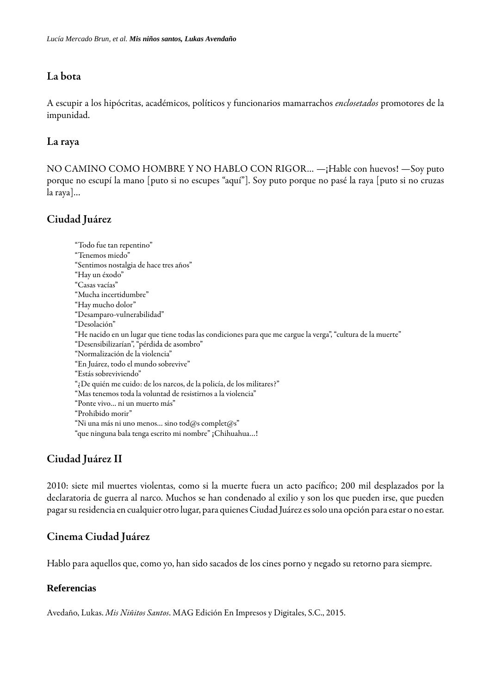### La bota

A escupir a los hipócritas, académicos, políticos y funcionarios mamarrachos *enclosetados* promotores de la impunidad.

### La raya

NO CAMINO COMO HOMBRE Y NO HABLO CON RIGOR… —¡Hable con huevos! —Soy puto porque no escupí la mano [puto si no escupes "aquí"]. Soy puto porque no pasé la raya [puto si no cruzas la raya]…

## Ciudad Juárez

"Todo fue tan repentino" "Tenemos miedo" "Sentimos nostalgia de hace tres años" "Hay un éxodo" "Casas vacías" "Mucha incertidumbre" "Hay mucho dolor" "Desamparo-vulnerabilidad" "Desolación" "He nacido en un lugar que tiene todas las condiciones para que me cargue la verga", "cultura de la muerte" "Desensibilizarían", "pérdida de asombro" "Normalización de la violencia" "En Juárez, todo el mundo sobrevive" "Estás sobreviviendo" "¿De quién me cuido: de los narcos, de la policía, de los militares?" "Mas tenemos toda la voluntad de resistirnos a la violencia" "Ponte vivo… ni un muerto más" "Prohibido morir" "Ni una más ni uno menos... sino tod@s complet@s" "que ninguna bala tenga escrito mi nombre" ¡Chihuahua…!

## Ciudad Juárez II

2010: siete mil muertes violentas, como si la muerte fuera un acto pacífico; 200 mil desplazados por la declaratoria de guerra al narco. Muchos se han condenado al exilio y son los que pueden irse, que pueden pagar su residencia en cualquier otro lugar, para quienes Ciudad Juárez es solo una opción para estar o no estar.

### Cinema Ciudad Juárez

Hablo para aquellos que, como yo, han sido sacados de los cines porno y negado su retorno para siempre.

#### **Referencias**

<span id="page-6-0"></span>Avedaño, Lukas. *Mis Niñitos Santos*. MAG Edición En Impresos y Digitales, S.C., 2015.